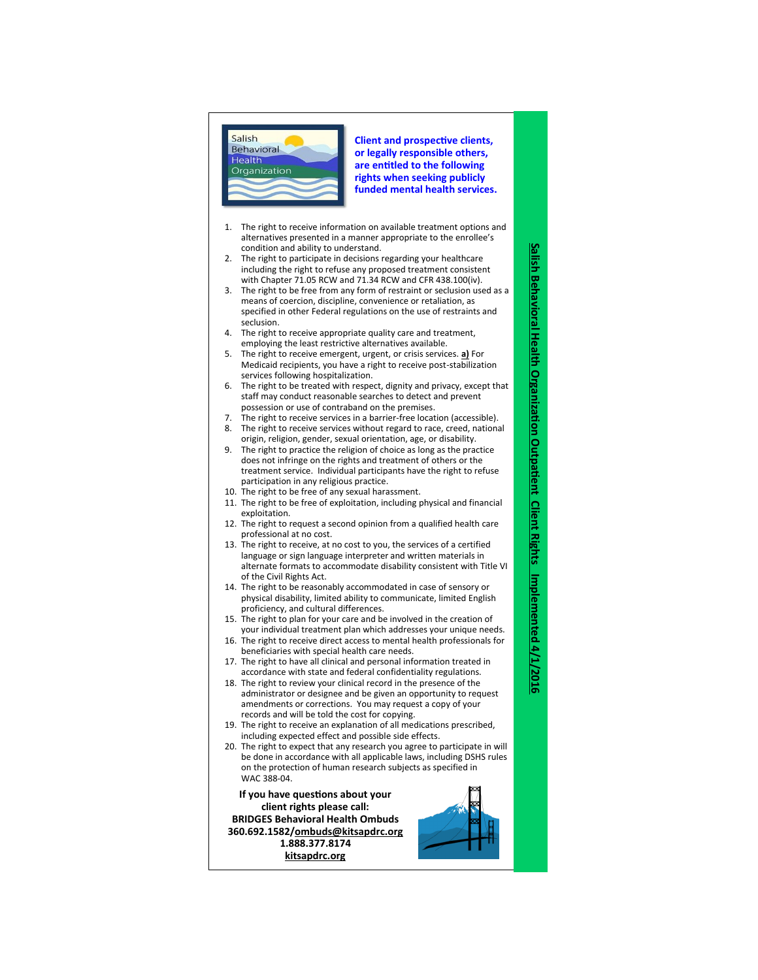

**Client and prospective clients, or legally responsible others, are entitled to the following rights when seeking publicly funded mental health services.**

- 1. The right to receive information on available treatment options and alternatives presented in a manner appropriate to the enrollee's condition and ability to understand.
- The right to participate in decisions regarding your healthcare including the right to refuse any proposed treatment consistent with Chapter 71.05 RCW and 71.34 RCW and CFR 438.100(iv).
- 3. The right to be free from any form of restraint or seclusion used as a means of coercion, discipline, convenience or retaliation, as specified in other Federal regulations on the use of restraints and seclusion.
- 4. The right to receive appropriate quality care and treatment, employing the least restrictive alternatives available.
- 5. The right to receive emergent, urgent, or crisis services. **a)** For Medicaid recipients, you have a right to receive post -stabilization services following hospitalization.
- 6. The right to be treated with respect, dignity and privacy, except that staff may conduct reasonable searches to detect and prevent possession or use of contraband on the premises.
- 7. The right to receive services in a barrier -free location (accessible).
- 8. The right to receive services without regard to race, creed, national origin, religion, gender, sexual orientation, age, or disability.
- 9. The right to practice the religion of choice as long as the practice does not infringe on the rights and treatment of others or the treatment service. Individual participants have the right to refuse participation in any religious practice.
- 10. The right to be free of any sexual harassment.
- 11. The right to be free of exploitation, including physical and financial exploitation.
- 12. The right to request a second opinion from a qualified health care professional at no cost.
- 13. The right to receive, at no cost to you, the services of a certified language or sign language interpreter and written materials in alternate formats to accommodate disability consistent with Title VI of the Civil Rights Act.
- 14. The right to be reasonably accommodated in case of sensory or physical disability, limited ability to communicate, limited English proficiency, and cultural differences.
- 15. The right to plan for your care and be involved in the creation of your individual treatment plan which addresses your unique needs.
- 16. The right to receive direct access to mental health professionals for beneficiaries with special health care needs.
- 17. The right to have all clinical and personal information treated in accordance with state and federal confidentiality regulations.
- 18. The right to review your clinical record in the presence of the administrator or designee and be given an opportunity to request amendments or corrections. You may request a copy of your records and will be told the cost for copying.
- 19. The right to receive an explanation of all medications prescribed, including expected effect and possible side effects.
- 20. The right to expect that any research you agree to participate in will be done in accordance with all applicable laws, including DSHS rules on the protection of human research subjects as specified in WAC 388 -04.

**If you have questions about your client rights please call: BRIDGES Behavioral Health Ombuds 360.692.1582/ombuds@kitsapdrc.org 1.888.377.8174 kitsapdrc.org**



**Salish Behavioral Health Organization Outpatient Client Rights**

Salish Behavioral Health Organization Outpatient Client Rights

**Implemented 4/1/2016**

Implemented 4/1/2016